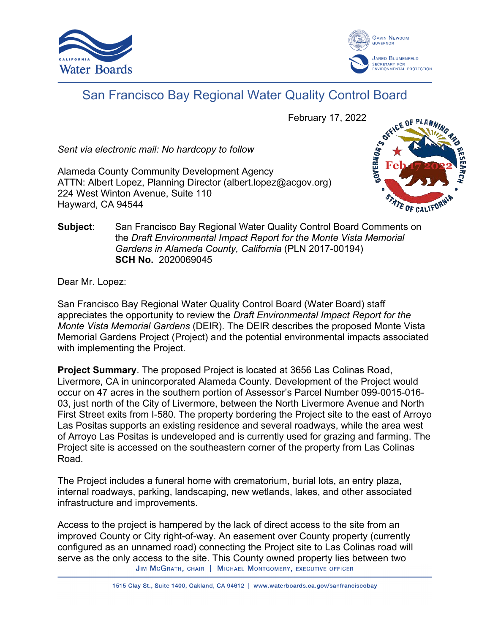



# San Francisco Bay Regional Water Quality Control Board

February 17, 2022

*Sent via electronic mail: No hardcopy to follow*

Alameda County Community Development Agency ATTN: Albert Lopez, Planning Director (albert.lopez@acgov.org) 224 West Winton Avenue, Suite 110 Hayward, CA 94544



# **Subject**: San Francisco Bay Regional Water Quality Control Board Comments on the *Draft Environmental Impact Report for the Monte Vista Memorial Gardens in Alameda County, California* (PLN 2017-00194) **SCH No.** 2020069045

Dear Mr. Lopez:

San Francisco Bay Regional Water Quality Control Board (Water Board) staff appreciates the opportunity to review the *Draft Environmental Impact Report for the Monte Vista Memorial Gardens* (DEIR). The DEIR describes the proposed Monte Vista Memorial Gardens Project (Project) and the potential environmental impacts associated with implementing the Project.

**Project Summary**. The proposed Project is located at 3656 Las Colinas Road, Livermore, CA in unincorporated Alameda County. Development of the Project would occur on 47 acres in the southern portion of Assessor's Parcel Number 099-0015-016- 03, just north of the City of Livermore, between the North Livermore Avenue and North First Street exits from I-580. The property bordering the Project site to the east of Arroyo Las Positas supports an existing residence and several roadways, while the area west of Arroyo Las Positas is undeveloped and is currently used for grazing and farming. The Project site is accessed on the southeastern corner of the property from Las Colinas Road.

The Project includes a funeral home with crematorium, burial lots, an entry plaza, internal roadways, parking, landscaping, new wetlands, lakes, and other associated infrastructure and improvements.

Access to the project is hampered by the lack of direct access to the site from an improved County or City right-of-way. An easement over County property (currently configured as an unnamed road) connecting the Project site to Las Colinas road will serve as the only access to the site. This County owned property lies between two JIM MCGRATH, CHAIR | MICHAEL MONTGOMERY, EXECUTIVE OFFICER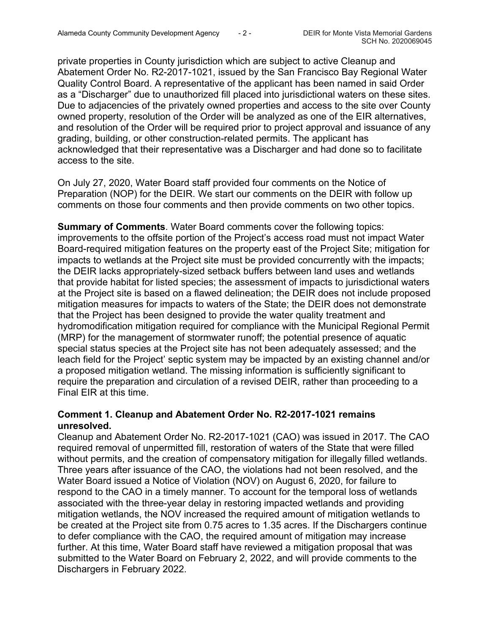private properties in County jurisdiction which are subject to active Cleanup and Abatement Order No. R2-2017-1021, issued by the San Francisco Bay Regional Water Quality Control Board. A representative of the applicant has been named in said Order as a "Discharger" due to unauthorized fill placed into jurisdictional waters on these sites. Due to adjacencies of the privately owned properties and access to the site over County owned property, resolution of the Order will be analyzed as one of the EIR alternatives, and resolution of the Order will be required prior to project approval and issuance of any grading, building, or other construction-related permits. The applicant has acknowledged that their representative was a Discharger and had done so to facilitate access to the site.

On July 27, 2020, Water Board staff provided four comments on the Notice of Preparation (NOP) for the DEIR. We start our comments on the DEIR with follow up comments on those four comments and then provide comments on two other topics.

**Summary of Comments**. Water Board comments cover the following topics: improvements to the offsite portion of the Project's access road must not impact Water Board-required mitigation features on the property east of the Project Site; mitigation for impacts to wetlands at the Project site must be provided concurrently with the impacts; the DEIR lacks appropriately-sized setback buffers between land uses and wetlands that provide habitat for listed species; the assessment of impacts to jurisdictional waters at the Project site is based on a flawed delineation; the DEIR does not include proposed mitigation measures for impacts to waters of the State; the DEIR does not demonstrate that the Project has been designed to provide the water quality treatment and hydromodification mitigation required for compliance with the Municipal Regional Permit (MRP) for the management of stormwater runoff; the potential presence of aquatic special status species at the Project site has not been adequately assessed; and the leach field for the Project' septic system may be impacted by an existing channel and/or a proposed mitigation wetland. The missing information is sufficiently significant to require the preparation and circulation of a revised DEIR, rather than proceeding to a Final EIR at this time.

## **Comment 1. Cleanup and Abatement Order No. R2-2017-1021 remains unresolved.**

Cleanup and Abatement Order No. R2-2017-1021 (CAO) was issued in 2017. The CAO required removal of unpermitted fill, restoration of waters of the State that were filled without permits, and the creation of compensatory mitigation for illegally filled wetlands. Three years after issuance of the CAO, the violations had not been resolved, and the Water Board issued a Notice of Violation (NOV) on August 6, 2020, for failure to respond to the CAO in a timely manner. To account for the temporal loss of wetlands associated with the three-year delay in restoring impacted wetlands and providing mitigation wetlands, the NOV increased the required amount of mitigation wetlands to be created at the Project site from 0.75 acres to 1.35 acres. If the Dischargers continue to defer compliance with the CAO, the required amount of mitigation may increase further. At this time, Water Board staff have reviewed a mitigation proposal that was submitted to the Water Board on February 2, 2022, and will provide comments to the Dischargers in February 2022.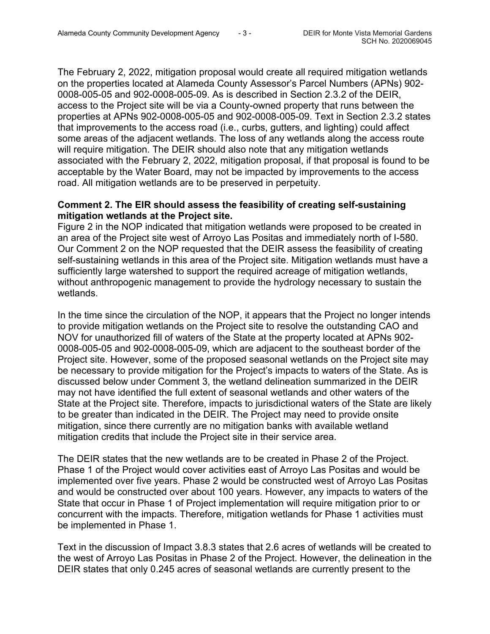The February 2, 2022, mitigation proposal would create all required mitigation wetlands on the properties located at Alameda County Assessor's Parcel Numbers (APNs) 902- 0008-005-05 and 902-0008-005-09. As is described in Section 2.3.2 of the DEIR, access to the Project site will be via a County-owned property that runs between the properties at APNs 902-0008-005-05 and 902-0008-005-09. Text in Section 2.3.2 states that improvements to the access road (i.e., curbs, gutters, and lighting) could affect some areas of the adjacent wetlands. The loss of any wetlands along the access route will require mitigation. The DEIR should also note that any mitigation wetlands associated with the February 2, 2022, mitigation proposal, if that proposal is found to be acceptable by the Water Board, may not be impacted by improvements to the access road. All mitigation wetlands are to be preserved in perpetuity.

## **Comment 2. The EIR should assess the feasibility of creating self-sustaining mitigation wetlands at the Project site.**

Figure 2 in the NOP indicated that mitigation wetlands were proposed to be created in an area of the Project site west of Arroyo Las Positas and immediately north of I-580. Our Comment 2 on the NOP requested that the DEIR assess the feasibility of creating self-sustaining wetlands in this area of the Project site. Mitigation wetlands must have a sufficiently large watershed to support the required acreage of mitigation wetlands, without anthropogenic management to provide the hydrology necessary to sustain the wetlands.

In the time since the circulation of the NOP, it appears that the Project no longer intends to provide mitigation wetlands on the Project site to resolve the outstanding CAO and NOV for unauthorized fill of waters of the State at the property located at APNs 902- 0008-005-05 and 902-0008-005-09, which are adjacent to the southeast border of the Project site. However, some of the proposed seasonal wetlands on the Project site may be necessary to provide mitigation for the Project's impacts to waters of the State. As is discussed below under Comment 3, the wetland delineation summarized in the DEIR may not have identified the full extent of seasonal wetlands and other waters of the State at the Project site. Therefore, impacts to jurisdictional waters of the State are likely to be greater than indicated in the DEIR. The Project may need to provide onsite mitigation, since there currently are no mitigation banks with available wetland mitigation credits that include the Project site in their service area.

The DEIR states that the new wetlands are to be created in Phase 2 of the Project. Phase 1 of the Project would cover activities east of Arroyo Las Positas and would be implemented over five years. Phase 2 would be constructed west of Arroyo Las Positas and would be constructed over about 100 years. However, any impacts to waters of the State that occur in Phase 1 of Project implementation will require mitigation prior to or concurrent with the impacts. Therefore, mitigation wetlands for Phase 1 activities must be implemented in Phase 1.

Text in the discussion of Impact 3.8.3 states that 2.6 acres of wetlands will be created to the west of Arroyo Las Positas in Phase 2 of the Project. However, the delineation in the DEIR states that only 0.245 acres of seasonal wetlands are currently present to the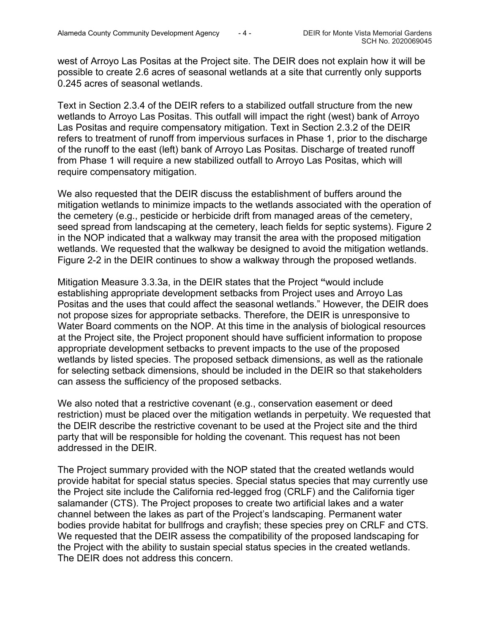west of Arroyo Las Positas at the Project site. The DEIR does not explain how it will be possible to create 2.6 acres of seasonal wetlands at a site that currently only supports 0.245 acres of seasonal wetlands.

Text in Section 2.3.4 of the DEIR refers to a stabilized outfall structure from the new wetlands to Arroyo Las Positas. This outfall will impact the right (west) bank of Arroyo Las Positas and require compensatory mitigation. Text in Section 2.3.2 of the DEIR refers to treatment of runoff from impervious surfaces in Phase 1, prior to the discharge of the runoff to the east (left) bank of Arroyo Las Positas. Discharge of treated runoff from Phase 1 will require a new stabilized outfall to Arroyo Las Positas, which will require compensatory mitigation.

We also requested that the DEIR discuss the establishment of buffers around the mitigation wetlands to minimize impacts to the wetlands associated with the operation of the cemetery (e.g., pesticide or herbicide drift from managed areas of the cemetery, seed spread from landscaping at the cemetery, leach fields for septic systems). Figure 2 in the NOP indicated that a walkway may transit the area with the proposed mitigation wetlands. We requested that the walkway be designed to avoid the mitigation wetlands. Figure 2-2 in the DEIR continues to show a walkway through the proposed wetlands.

Mitigation Measure 3.3.3a, in the DEIR states that the Project **"**would include establishing appropriate development setbacks from Project uses and Arroyo Las Positas and the uses that could affect the seasonal wetlands." However, the DEIR does not propose sizes for appropriate setbacks. Therefore, the DEIR is unresponsive to Water Board comments on the NOP. At this time in the analysis of biological resources at the Project site, the Project proponent should have sufficient information to propose appropriate development setbacks to prevent impacts to the use of the proposed wetlands by listed species. The proposed setback dimensions, as well as the rationale for selecting setback dimensions, should be included in the DEIR so that stakeholders can assess the sufficiency of the proposed setbacks.

We also noted that a restrictive covenant (e.g., conservation easement or deed restriction) must be placed over the mitigation wetlands in perpetuity. We requested that the DEIR describe the restrictive covenant to be used at the Project site and the third party that will be responsible for holding the covenant. This request has not been addressed in the DEIR.

The Project summary provided with the NOP stated that the created wetlands would provide habitat for special status species. Special status species that may currently use the Project site include the California red-legged frog (CRLF) and the California tiger salamander (CTS). The Project proposes to create two artificial lakes and a water channel between the lakes as part of the Project's landscaping. Permanent water bodies provide habitat for bullfrogs and crayfish; these species prey on CRLF and CTS. We requested that the DEIR assess the compatibility of the proposed landscaping for the Project with the ability to sustain special status species in the created wetlands. The DEIR does not address this concern.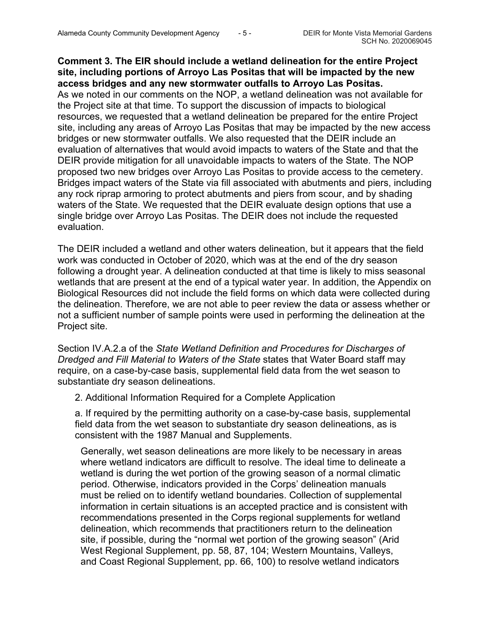#### **Comment 3. The EIR should include a wetland delineation for the entire Project site, including portions of Arroyo Las Positas that will be impacted by the new access bridges and any new stormwater outfalls to Arroyo Las Positas.**

As we noted in our comments on the NOP, a wetland delineation was not available for the Project site at that time. To support the discussion of impacts to biological resources, we requested that a wetland delineation be prepared for the entire Project site, including any areas of Arroyo Las Positas that may be impacted by the new access bridges or new stormwater outfalls. We also requested that the DEIR include an evaluation of alternatives that would avoid impacts to waters of the State and that the DEIR provide mitigation for all unavoidable impacts to waters of the State. The NOP proposed two new bridges over Arroyo Las Positas to provide access to the cemetery. Bridges impact waters of the State via fill associated with abutments and piers, including any rock riprap armoring to protect abutments and piers from scour, and by shading waters of the State. We requested that the DEIR evaluate design options that use a single bridge over Arroyo Las Positas. The DEIR does not include the requested evaluation.

The DEIR included a wetland and other waters delineation, but it appears that the field work was conducted in October of 2020, which was at the end of the dry season following a drought year. A delineation conducted at that time is likely to miss seasonal wetlands that are present at the end of a typical water year. In addition, the Appendix on Biological Resources did not include the field forms on which data were collected during the delineation. Therefore, we are not able to peer review the data or assess whether or not a sufficient number of sample points were used in performing the delineation at the Project site.

Section IV.A.2.a of the *State Wetland Definition and Procedures for Discharges of Dredged and Fill Material to Waters of the State* states that Water Board staff may require, on a case-by-case basis, supplemental field data from the wet season to substantiate dry season delineations.

2. Additional Information Required for a Complete Application

a. If required by the permitting authority on a case-by-case basis, supplemental field data from the wet season to substantiate dry season delineations, as is consistent with the 1987 Manual and Supplements.

Generally, wet season delineations are more likely to be necessary in areas where wetland indicators are difficult to resolve. The ideal time to delineate a wetland is during the wet portion of the growing season of a normal climatic period. Otherwise, indicators provided in the Corps' delineation manuals must be relied on to identify wetland boundaries. Collection of supplemental information in certain situations is an accepted practice and is consistent with recommendations presented in the Corps regional supplements for wetland delineation, which recommends that practitioners return to the delineation site, if possible, during the "normal wet portion of the growing season" (Arid West Regional Supplement, pp. 58, 87, 104; Western Mountains, Valleys, and Coast Regional Supplement, pp. 66, 100) to resolve wetland indicators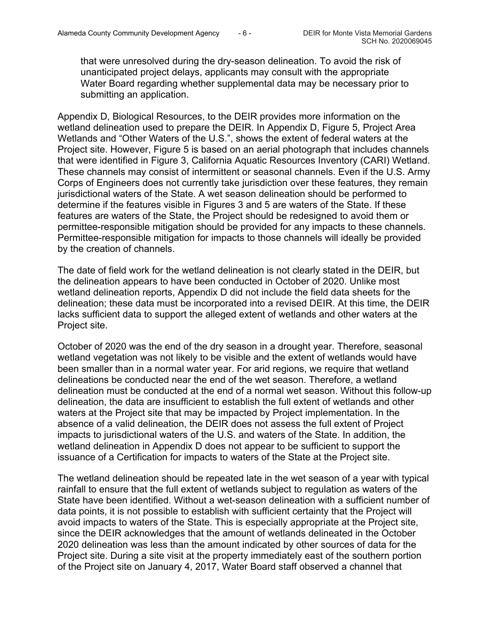that were unresolved during the dry-season delineation. To avoid the risk of unanticipated project delays, applicants may consult with the appropriate Water Board regarding whether supplemental data may be necessary prior to submitting an application.

Appendix D, Biological Resources, to the DEIR provides more information on the wetland delineation used to prepare the DEIR. In Appendix D, Figure 5, Project Area Wetlands and "Other Waters of the U.S.", shows the extent of federal waters at the Project site. However, Figure 5 is based on an aerial photograph that includes channels that were identified in Figure 3, California Aquatic Resources Inventory (CARI) Wetland. These channels may consist of intermittent or seasonal channels. Even if the U.S. Army Corps of Engineers does not currently take jurisdiction over these features, they remain jurisdictional waters of the State. A wet season delineation should be performed to determine if the features visible in Figures 3 and 5 are waters of the State. If these features are waters of the State, the Project should be redesigned to avoid them or permittee-responsible mitigation should be provided for any impacts to these channels. Permittee-responsible mitigation for impacts to those channels will ideally be provided by the creation of channels.

The date of field work for the wetland delineation is not clearly stated in the DEIR, but the delineation appears to have been conducted in October of 2020. Unlike most wetland delineation reports, Appendix D did not include the field data sheets for the delineation; these data must be incorporated into a revised DEIR. At this time, the DEIR lacks sufficient data to support the alleged extent of wetlands and other waters at the Project site.

October of 2020 was the end of the dry season in a drought year. Therefore, seasonal wetland vegetation was not likely to be visible and the extent of wetlands would have been smaller than in a normal water year. For arid regions, we require that wetland delineations be conducted near the end of the wet season. Therefore, a wetland delineation must be conducted at the end of a normal wet season. Without this follow-up delineation, the data are insufficient to establish the full extent of wetlands and other waters at the Project site that may be impacted by Project implementation. In the absence of a valid delineation, the DEIR does not assess the full extent of Project impacts to jurisdictional waters of the U.S. and waters of the State. In addition, the wetland delineation in Appendix D does not appear to be sufficient to support the issuance of a Certification for impacts to waters of the State at the Project site.

The wetland delineation should be repeated late in the wet season of a year with typical rainfall to ensure that the full extent of wetlands subject to regulation as waters of the State have been identified. Without a wet-season delineation with a sufficient number of data points, it is not possible to establish with sufficient certainty that the Project will avoid impacts to waters of the State. This is especially appropriate at the Project site, since the DEIR acknowledges that the amount of wetlands delineated in the October 2020 delineation was less than the amount indicated by other sources of data for the Project site. During a site visit at the property immediately east of the southern portion of the Project site on January 4, 2017, Water Board staff observed a channel that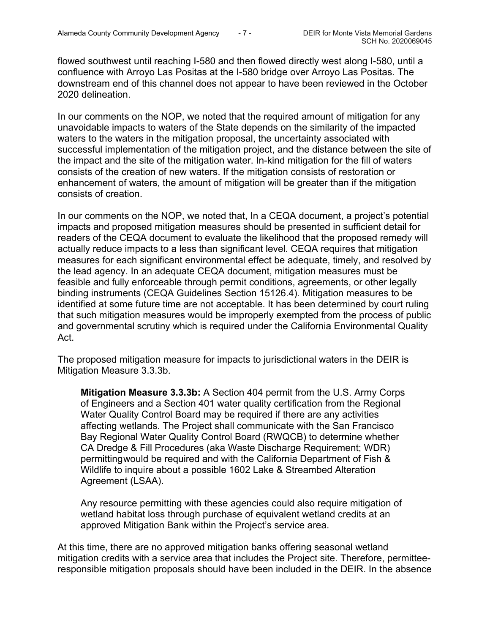flowed southwest until reaching I-580 and then flowed directly west along I-580, until a confluence with Arroyo Las Positas at the I-580 bridge over Arroyo Las Positas. The downstream end of this channel does not appear to have been reviewed in the October 2020 delineation.

In our comments on the NOP, we noted that the required amount of mitigation for any unavoidable impacts to waters of the State depends on the similarity of the impacted waters to the waters in the mitigation proposal, the uncertainty associated with successful implementation of the mitigation project, and the distance between the site of the impact and the site of the mitigation water. In-kind mitigation for the fill of waters consists of the creation of new waters. If the mitigation consists of restoration or enhancement of waters, the amount of mitigation will be greater than if the mitigation consists of creation.

In our comments on the NOP, we noted that, In a CEQA document, a project's potential impacts and proposed mitigation measures should be presented in sufficient detail for readers of the CEQA document to evaluate the likelihood that the proposed remedy will actually reduce impacts to a less than significant level. CEQA requires that mitigation measures for each significant environmental effect be adequate, timely, and resolved by the lead agency. In an adequate CEQA document, mitigation measures must be feasible and fully enforceable through permit conditions, agreements, or other legally binding instruments (CEQA Guidelines Section 15126.4). Mitigation measures to be identified at some future time are not acceptable. It has been determined by court ruling that such mitigation measures would be improperly exempted from the process of public and governmental scrutiny which is required under the California Environmental Quality Act.

The proposed mitigation measure for impacts to jurisdictional waters in the DEIR is Mitigation Measure 3.3.3b.

**Mitigation Measure 3.3.3b:** A Section 404 permit from the U.S. Army Corps of Engineers and a Section 401 water quality certification from the Regional Water Quality Control Board may be required if there are any activities affecting wetlands. The Project shall communicate with the San Francisco Bay Regional Water Quality Control Board (RWQCB) to determine whether CA Dredge & Fill Procedures (aka Waste Discharge Requirement; WDR) permittingwould be required and with the California Department of Fish & Wildlife to inquire about a possible 1602 Lake & Streambed Alteration Agreement (LSAA).

Any resource permitting with these agencies could also require mitigation of wetland habitat loss through purchase of equivalent wetland credits at an approved Mitigation Bank within the Project's service area.

At this time, there are no approved mitigation banks offering seasonal wetland mitigation credits with a service area that includes the Project site. Therefore, permitteeresponsible mitigation proposals should have been included in the DEIR. In the absence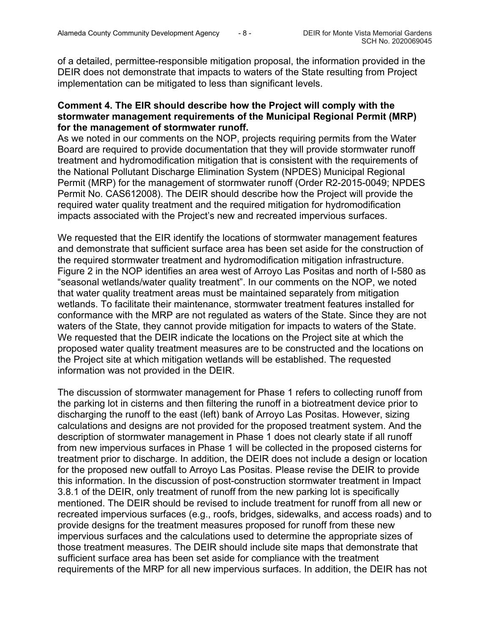of a detailed, permittee-responsible mitigation proposal, the information provided in the DEIR does not demonstrate that impacts to waters of the State resulting from Project implementation can be mitigated to less than significant levels.

## **Comment 4. The EIR should describe how the Project will comply with the stormwater management requirements of the Municipal Regional Permit (MRP) for the management of stormwater runoff.**

As we noted in our comments on the NOP, projects requiring permits from the Water Board are required to provide documentation that they will provide stormwater runoff treatment and hydromodification mitigation that is consistent with the requirements of the National Pollutant Discharge Elimination System (NPDES) Municipal Regional Permit (MRP) for the management of stormwater runoff (Order R2-2015-0049; NPDES Permit No. CAS612008). The DEIR should describe how the Project will provide the required water quality treatment and the required mitigation for hydromodification impacts associated with the Project's new and recreated impervious surfaces.

We requested that the EIR identify the locations of stormwater management features and demonstrate that sufficient surface area has been set aside for the construction of the required stormwater treatment and hydromodification mitigation infrastructure. Figure 2 in the NOP identifies an area west of Arroyo Las Positas and north of I-580 as "seasonal wetlands/water quality treatment". In our comments on the NOP, we noted that water quality treatment areas must be maintained separately from mitigation wetlands. To facilitate their maintenance, stormwater treatment features installed for conformance with the MRP are not regulated as waters of the State. Since they are not waters of the State, they cannot provide mitigation for impacts to waters of the State. We requested that the DEIR indicate the locations on the Project site at which the proposed water quality treatment measures are to be constructed and the locations on the Project site at which mitigation wetlands will be established. The requested information was not provided in the DEIR.

The discussion of stormwater management for Phase 1 refers to collecting runoff from the parking lot in cisterns and then filtering the runoff in a biotreatment device prior to discharging the runoff to the east (left) bank of Arroyo Las Positas. However, sizing calculations and designs are not provided for the proposed treatment system. And the description of stormwater management in Phase 1 does not clearly state if all runoff from new impervious surfaces in Phase 1 will be collected in the proposed cisterns for treatment prior to discharge. In addition, the DEIR does not include a design or location for the proposed new outfall to Arroyo Las Positas. Please revise the DEIR to provide this information. In the discussion of post-construction stormwater treatment in Impact 3.8.1 of the DEIR, only treatment of runoff from the new parking lot is specifically mentioned. The DEIR should be revised to include treatment for runoff from all new or recreated impervious surfaces (e.g., roofs, bridges, sidewalks, and access roads) and to provide designs for the treatment measures proposed for runoff from these new impervious surfaces and the calculations used to determine the appropriate sizes of those treatment measures. The DEIR should include site maps that demonstrate that sufficient surface area has been set aside for compliance with the treatment requirements of the MRP for all new impervious surfaces. In addition, the DEIR has not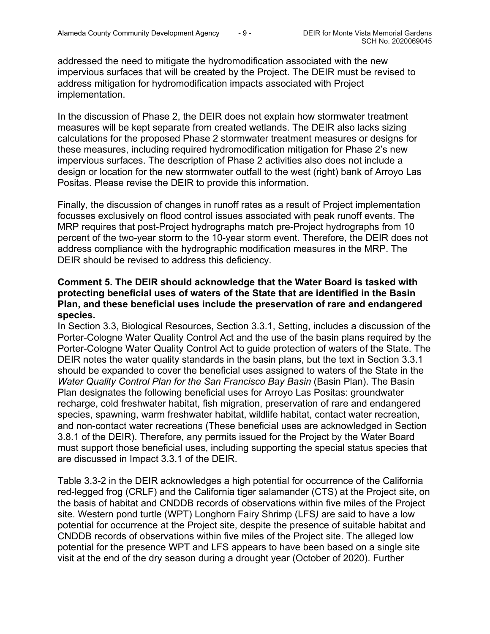addressed the need to mitigate the hydromodification associated with the new impervious surfaces that will be created by the Project. The DEIR must be revised to address mitigation for hydromodification impacts associated with Project implementation.

In the discussion of Phase 2, the DEIR does not explain how stormwater treatment measures will be kept separate from created wetlands. The DEIR also lacks sizing calculations for the proposed Phase 2 stormwater treatment measures or designs for these measures, including required hydromodification mitigation for Phase 2's new impervious surfaces. The description of Phase 2 activities also does not include a design or location for the new stormwater outfall to the west (right) bank of Arroyo Las Positas. Please revise the DEIR to provide this information.

Finally, the discussion of changes in runoff rates as a result of Project implementation focusses exclusively on flood control issues associated with peak runoff events. The MRP requires that post-Project hydrographs match pre-Project hydrographs from 10 percent of the two-year storm to the 10-year storm event. Therefore, the DEIR does not address compliance with the hydrographic modification measures in the MRP. The DEIR should be revised to address this deficiency.

## **Comment 5. The DEIR should acknowledge that the Water Board is tasked with protecting beneficial uses of waters of the State that are identified in the Basin Plan, and these beneficial uses include the preservation of rare and endangered species.**

In Section 3.3, Biological Resources, Section 3.3.1, Setting, includes a discussion of the Porter-Cologne Water Quality Control Act and the use of the basin plans required by the Porter-Cologne Water Quality Control Act to guide protection of waters of the State. The DEIR notes the water quality standards in the basin plans, but the text in Section 3.3.1 should be expanded to cover the beneficial uses assigned to waters of the State in the *Water Quality Control Plan for the San Francisco Bay Basin* (Basin Plan). The Basin Plan designates the following beneficial uses for Arroyo Las Positas: groundwater recharge, cold freshwater habitat, fish migration, preservation of rare and endangered species, spawning, warm freshwater habitat, wildlife habitat, contact water recreation, and non-contact water recreations (These beneficial uses are acknowledged in Section 3.8.1 of the DEIR). Therefore, any permits issued for the Project by the Water Board must support those beneficial uses, including supporting the special status species that are discussed in Impact 3.3.1 of the DEIR.

Table 3.3-2 in the DEIR acknowledges a high potential for occurrence of the California red-legged frog (CRLF) and the California tiger salamander (CTS) at the Project site, on the basis of habitat and CNDDB records of observations within five miles of the Project site. Western pond turtle (WPT) Longhorn Fairy Shrimp (LFS*)* are said to have a low potential for occurrence at the Project site, despite the presence of suitable habitat and CNDDB records of observations within five miles of the Project site. The alleged low potential for the presence WPT and LFS appears to have been based on a single site visit at the end of the dry season during a drought year (October of 2020). Further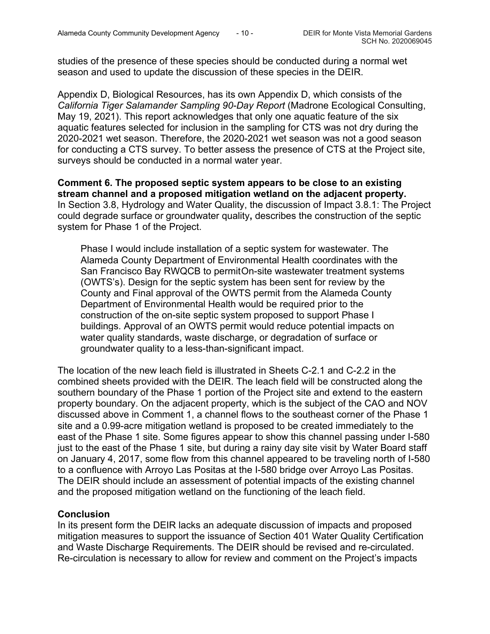studies of the presence of these species should be conducted during a normal wet season and used to update the discussion of these species in the DEIR.

Appendix D, Biological Resources, has its own Appendix D, which consists of the *California Tiger Salamander Sampling 90-Day Report* (Madrone Ecological Consulting, May 19, 2021). This report acknowledges that only one aquatic feature of the six aquatic features selected for inclusion in the sampling for CTS was not dry during the 2020-2021 wet season. Therefore, the 2020-2021 wet season was not a good season for conducting a CTS survey. To better assess the presence of CTS at the Project site, surveys should be conducted in a normal water year.

**Comment 6. The proposed septic system appears to be close to an existing stream channel and a proposed mitigation wetland on the adjacent property.** In Section 3.8, Hydrology and Water Quality, the discussion of Impact 3.8.1: The Project could degrade surface or groundwater quality**,** describes the construction of the septic system for Phase 1 of the Project.

Phase I would include installation of a septic system for wastewater. The Alameda County Department of Environmental Health coordinates with the San Francisco Bay RWQCB to permitOn-site wastewater treatment systems (OWTS's). Design for the septic system has been sent for review by the County and Final approval of the OWTS permit from the Alameda County Department of Environmental Health would be required prior to the construction of the on-site septic system proposed to support Phase I buildings. Approval of an OWTS permit would reduce potential impacts on water quality standards, waste discharge, or degradation of surface or groundwater quality to a less-than-significant impact.

The location of the new leach field is illustrated in Sheets C-2.1 and C-2.2 in the combined sheets provided with the DEIR. The leach field will be constructed along the southern boundary of the Phase 1 portion of the Project site and extend to the eastern property boundary. On the adjacent property, which is the subject of the CAO and NOV discussed above in Comment 1, a channel flows to the southeast corner of the Phase 1 site and a 0.99-acre mitigation wetland is proposed to be created immediately to the east of the Phase 1 site. Some figures appear to show this channel passing under I-580 just to the east of the Phase 1 site, but during a rainy day site visit by Water Board staff on January 4, 2017, some flow from this channel appeared to be traveling north of I-580 to a confluence with Arroyo Las Positas at the I-580 bridge over Arroyo Las Positas. The DEIR should include an assessment of potential impacts of the existing channel and the proposed mitigation wetland on the functioning of the leach field.

## **Conclusion**

In its present form the DEIR lacks an adequate discussion of impacts and proposed mitigation measures to support the issuance of Section 401 Water Quality Certification and Waste Discharge Requirements. The DEIR should be revised and re-circulated. Re-circulation is necessary to allow for review and comment on the Project's impacts